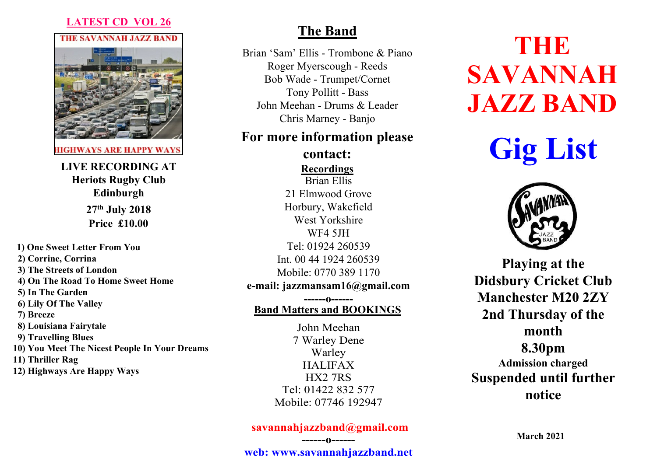## **LATEST CD VOL 26**

**THE SAVANNAH JAZZ BAND** 



**HIGHWAYS ARE HAPPY WAYS** 

**LIVE RECORDING AT Heriots Rugby Club Edinburgh 27th July 2018 Price £10.00**

**1) One Sweet Letter From You 2) Corrine, Corrina 3) The Streets of London 4) On The Road To Home Sweet Home 5) In The Garden 6) Lily Of The Valley 7) Breeze 8) Louisiana Fairytale 9) Travelling Blues 10) You Meet The Nicest People In Your Dreams 11) Thriller Rag 12) Highways Are Happy Ways**

# **The Band**

Brian 'Sam' Ellis - Trombone & Piano Roger Myerscough - Reeds Bob Wade - Trumpet/Cornet Tony Pollitt - Bass John Meehan - Drums & Leader Chris Marney - Banjo

## **For more information please**

Brian Ellis 21 Elmwood Grove Horbury, Wakefield West Yorkshire WF4 5JH Tel: 01924 260539 Int. 00 44 1924 260539 Mobile: 0770 389 1170 **e-mail: jazzmansam16@gmail.com ------o----- contact: Recordings**

# **Band Matters and BOOKINGS**

John Meehan 7 Warley Dene Warley HALIFAX HX2 7RS Tel: 01422 832 577 Mobile: 07746 192947

## **savannahjazzband@gmail.com ------o------**

# **THE SAVANNAH JAZZ BAND**

**Gig List**



**Playing at the Didsbury Cricket Club Manchester M20 2ZY 2nd Thursday of the month 8.30pm Admission charged Suspended until further notice**

**March 2021**

**web: www.savannahjazzband.net**